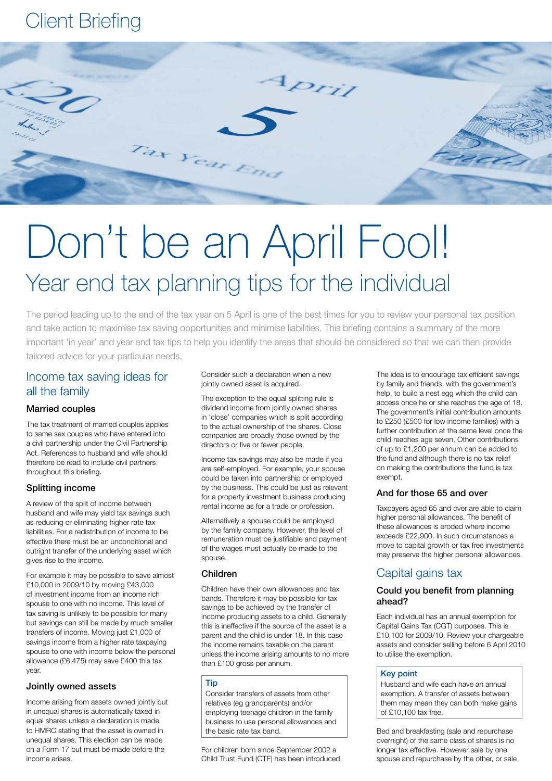## Client Briefing



# Don't be an April Fool! Year end tax planning tips for the individual

The period leading up to the end of the tax year on 5 April is one of the best times for you to review your personal tax position and take action to maximise tax saving opportunities and minimise liabilities. This briefing contains a summary of the more important 'in year' and year end tax tips to help you identify the areas that should be considered so that we can then provide tailored advice for your particular needs.

## Income tax saving ideas for all the family

## Married couples

The tax treatment of married couples applies to same sex couples who have entered into a civil partnership under the Civil Partnership Act. References to husband and wife should therefore be read to include civil partners throughout this briefing.

## Splitting income

A review of the split of income between husband and wife may yield tax savings such as reducing or eliminating higher rate tax liabilities. For a redistribution of income to be effective there must be an unconditional and outright transfer of the underlying asset which gives rise to the income.

For example it may be possible to save almost £10,000 in 2009/10 by moving £43,000 of investment income from an income rich spouse to one with no income. This level of tax saving is unlikely to be possible for many but savings can still be made by much smaller transfers of income. Moving just £1,000 of savings income from a higher rate taxpaying spouse to one with income below the personal allowance (£6,475) may save £400 this tax year.

## Jointly owned assets

Income arising from assets owned jointly but in unequal shares is automatically taxed in equal shares unless a declaration is made to HMRC stating that the asset is owned in unequal shares. This election can be made on a Form 17 but must be made before the income arises.

Consider such a declaration when a new jointly owned asset is acquired.

The exception to the equal splitting rule is dividend income from jointly owned shares in 'close' companies which is split according to the actual ownership of the shares. Close companies are broadly those owned by the directors or five or fewer people.

Income tax savings may also be made if you are self-employed. For example, your spouse could be taken into partnership or employed by the business. This could be just as relevant for a property investment business producing rental income as for a trade or profession.

Alternatively a spouse could be employed by the family company. However, the level of remuneration must be justifiable and payment of the wages must actually be made to the spouse.

## Children

Children have their own allowances and tax bands. Therefore it may be possible for tax savings to be achieved by the transfer of income producing assets to a child. Generally this is ineffective if the source of the asset is a parent and the child is under 18. In this case the income remains taxable on the parent unless the income arising amounts to no more than £100 gross per annum.

#### Tip

Consider transfers of assets from other relatives (eg grandparents) and/or employing teenage children in the family business to use personal allowances and the basic rate tax band.

For children born since September 2002 a Child Trust Fund (CTF) has been introduced. The idea is to encourage tax efficient savings by family and friends, with the government's help, to build a nest egg which the child can access once he or she reaches the age of 18. The government's initial contribution amounts to £250 (£500 for low income families) with a further contribution at the same level once the child reaches age seven. Other contributions of up to £1,200 per annum can be added to the fund and although there is no tax relief on making the contributions the fund is tax exempt.

## And for those 65 and over

Taxpayers aged 65 and over are able to claim higher personal allowances. The benefit of these allowances is eroded where income exceeds £22,900. In such circumstances a move to capital growth or tax free investments may preserve the higher personal allowances.

## Capital gains tax

## Could you benefit from planning ahead?

Each individual has an annual exemption for Capital Gains Tax (CGT) purposes. This is £10,100 for 2009/10. Review your chargeable assets and consider selling before 6 April 2010 to utilise the exemption.

## Key point

Husband and wife each have an annual exemption. A transfer of assets between them may mean they can both make gains of £10,100 tax free.

Bed and breakfasting (sale and repurchase overnight) of the same class of shares is no longer tax effective. However sale by one spouse and repurchase by the other, or sale